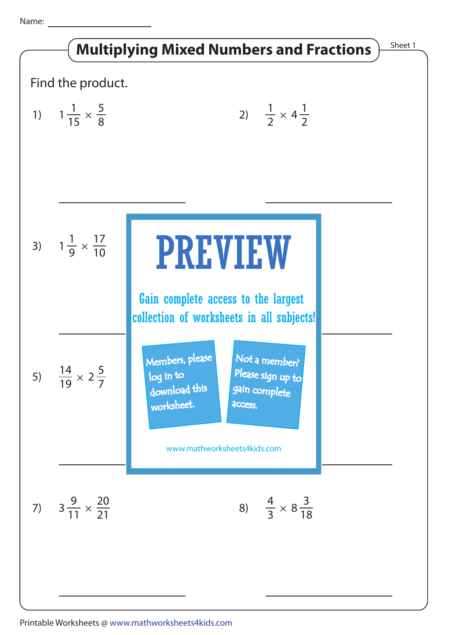